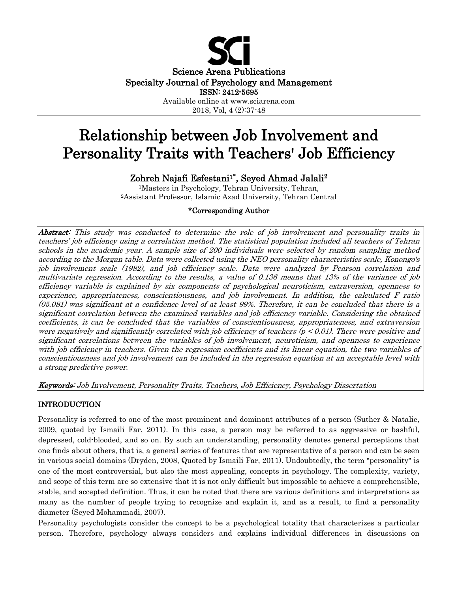

2018, Vol, 4 (2):37-48

# Relationship between Job Involvement and Personality Traits with Teachers' Job Efficiency

Zohreh Najafi Esfestani1**\*** , Seyed Ahmad Jalali2

1Masters in Psychology, Tehran University, Tehran, 2Assistant Professor, Islamic Azad University, Tehran Central

# \*Corresponding Author

Abstract: This study was conducted to determine the role of job involvement and personality traits in teachers' job efficiency using a correlation method. The statistical population included all teachers of Tehran schools in the academic year. A sample size of 200 individuals were selected by random sampling method according to the Morgan table. Data were collected using the NEO personality characteristics scale, Konongo's job involvement scale (1982), and job efficiency scale. Data were analyzed by Pearson correlation and multivariate regression. According to the results, a value of 0.136 means that 13% of the variance of job efficiency variable is explained by six components of psychological neuroticism, extraversion, openness to experience, appropriateness, conscientiousness, and job involvement. In addition, the calculated F ratio (05.081) was significant at a confidence level of at least 99%. Therefore, it can be concluded that there is a significant correlation between the examined variables and job efficiency variable. Considering the obtained coefficients, it can be concluded that the variables of conscientiousness, appropriateness, and extraversion were negatively and significantly correlated with job efficiency of teachers ( $p < 0.01$ ). There were positive and significant correlations between the variables of job involvement, neuroticism, and openness to experience with job efficiency in teachers. Given the regression coefficients and its linear equation, the two variables of conscientiousness and job involvement can be included in the regression equation at an acceptable level with a strong predictive power.

Keywords: Job Involvement, Personality Traits, Teachers, Job Efficiency, Psychology Dissertation

# INTRODUCTION

Personality is referred to one of the most prominent and dominant attributes of a person (Suther & Natalie, 2009, quoted by Ismaili Far, 2011). In this case, a person may be referred to as aggressive or bashful, depressed, cold-blooded, and so on. By such an understanding, personality denotes general perceptions that one finds about others, that is, a general series of features that are representative of a person and can be seen in various social domains (Dryden, 2008, Quoted by Ismaili Far, 2011). Undoubtedly, the term "personality" is one of the most controversial, but also the most appealing, concepts in psychology. The complexity, variety, and scope of this term are so extensive that it is not only difficult but impossible to achieve a comprehensible, stable, and accepted definition. Thus, it can be noted that there are various definitions and interpretations as many as the number of people trying to recognize and explain it, and as a result, to find a personality diameter (Seyed Mohammadi, 2007).

Personality psychologists consider the concept to be a psychological totality that characterizes a particular person. Therefore, psychology always considers and explains individual differences in discussions on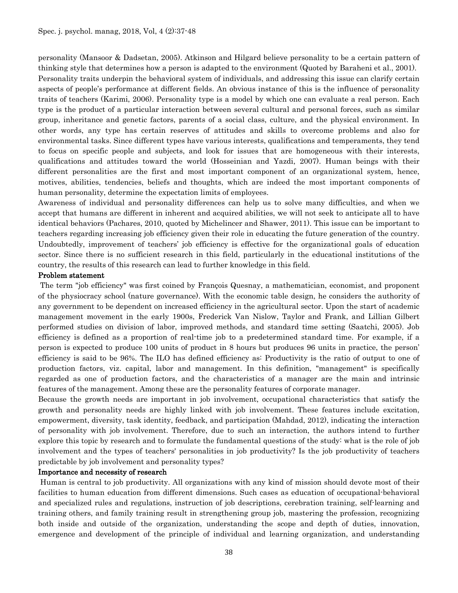personality (Mansoor & Dadsetan, 2005). Atkinson and Hilgard believe personality to be a certain pattern of thinking style that determines how a person is adapted to the environment (Quoted by Baraheni et al., 2001). Personality traits underpin the behavioral system of individuals, and addressing this issue can clarify certain aspects of people's performance at different fields. An obvious instance of this is the influence of personality traits of teachers (Karimi, 2006). Personality type is a model by which one can evaluate a real person. Each type is the product of a particular interaction between several cultural and personal forces, such as similar group, inheritance and genetic factors, parents of a social class, culture, and the physical environment. In other words, any type has certain reserves of attitudes and skills to overcome problems and also for environmental tasks. Since different types have various interests, qualifications and temperaments, they tend to focus on specific people and subjects, and look for issues that are homogeneous with their interests, qualifications and attitudes toward the world (Hosseinian and Yazdi, 2007). Human beings with their different personalities are the first and most important component of an organizational system, hence, motives, abilities, tendencies, beliefs and thoughts, which are indeed the most important components of human personality, determine the expectation limits of employees.

Awareness of individual and personality differences can help us to solve many difficulties, and when we accept that humans are different in inherent and acquired abilities, we will not seek to anticipate all to have identical behaviors (Pachares, 2010, quoted by Michelincer and Shawer, 2011). This issue can be important to teachers regarding increasing job efficiency given their role in educating the future generation of the country. Undoubtedly, improvement of teachers' job efficiency is effective for the organizational goals of education sector. Since there is no sufficient research in this field, particularly in the educational institutions of the country, the results of this research can lead to further knowledge in this field.

#### Problem statement

The term "job efficiency" was first coined by François Quesnay, a mathematician, economist, and proponent of the physiocracy school (nature governance). With the economic table design, he considers the authority of any government to be dependent on increased efficiency in the agricultural sector. Upon the start of academic management movement in the early 1900s, Frederick Van Nislow, Taylor and Frank, and Lillian Gilbert performed studies on division of labor, improved methods, and standard time setting (Saatchi, 2005). Job efficiency is defined as a proportion of real-time job to a predetermined standard time. For example, if a person is expected to produce 100 units of product in 8 hours but produces 96 units in practice, the person' efficiency is said to be 96%. The ILO has defined efficiency as: Productivity is the ratio of output to one of production factors, viz. capital, labor and management. In this definition, "management" is specifically regarded as one of production factors, and the characteristics of a manager are the main and intrinsic features of the management. Among these are the personality features of corporate manager.

Because the growth needs are important in job involvement, occupational characteristics that satisfy the growth and personality needs are highly linked with job involvement. These features include excitation, empowerment, diversity, task identity, feedback, and participation (Mahdad, 2012), indicating the interaction of personality with job involvement. Therefore, due to such an interaction, the authors intend to further explore this topic by research and to formulate the fundamental questions of the study: what is the role of job involvement and the types of teachers' personalities in job productivity? Is the job productivity of teachers predictable by job involvement and personality types?

## Importance and necessity of research

Human is central to job productivity. All organizations with any kind of mission should devote most of their facilities to human education from different dimensions. Such cases as education of occupational-behavioral and specialized rules and regulations, instruction of job descriptions, cerebration training, self-learning and training others, and family training result in strengthening group job, mastering the profession, recognizing both inside and outside of the organization, understanding the scope and depth of duties, innovation, emergence and development of the principle of individual and learning organization, and understanding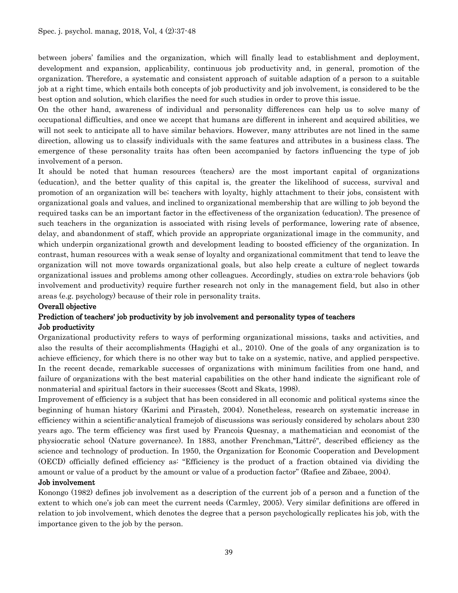between jobers' families and the organization, which will finally lead to establishment and deployment, development and expansion, applicability, continuous job productivity and, in general, promotion of the organization. Therefore, a systematic and consistent approach of suitable adaption of a person to a suitable job at a right time, which entails both concepts of job productivity and job involvement, is considered to be the best option and solution, which clarifies the need for such studies in order to prove this issue.

On the other hand, awareness of individual and personality differences can help us to solve many of occupational difficulties, and once we accept that humans are different in inherent and acquired abilities, we will not seek to anticipate all to have similar behaviors. However, many attributes are not lined in the same direction, allowing us to classify individuals with the same features and attributes in a business class. The emergence of these personality traits has often been accompanied by factors influencing the type of job involvement of a person.

It should be noted that human resources (teachers) are the most important capital of organizations (education), and the better quality of this capital is, the greater the likelihood of success, survival and promotion of an organization will be; teachers with loyalty, highly attachment to their jobs, consistent with organizational goals and values, and inclined to organizational membership that are willing to job beyond the required tasks can be an important factor in the effectiveness of the organization (education). The presence of such teachers in the organization is associated with rising levels of performance, lowering rate of absence, delay, and abandonment of staff, which provide an appropriate organizational image in the community, and which underpin organizational growth and development leading to boosted efficiency of the organization. In contrast, human resources with a weak sense of loyalty and organizational commitment that tend to leave the organization will not move towards organizational goals, but also help create a culture of neglect towards organizational issues and problems among other colleagues. Accordingly, studies on extra-role behaviors (job involvement and productivity) require further research not only in the management field, but also in other areas (e.g. psychology) because of their role in personality traits.

## Overall objective

# Prediction of teachers' job productivity by job involvement and personality types of teachers Job productivity

Organizational productivity refers to ways of performing organizational missions, tasks and activities, and also the results of their accomplishments (Hagighi et al., 2010). One of the goals of any organization is to achieve efficiency, for which there is no other way but to take on a systemic, native, and applied perspective. In the recent decade, remarkable successes of organizations with minimum facilities from one hand, and failure of organizations with the best material capabilities on the other hand indicate the significant role of nonmaterial and spiritual factors in their successes (Scott and Skats, 1998).

Improvement of efficiency is a subject that has been considered in all economic and political systems since the beginning of human history (Karimi and Pirasteh, 2004). Nonetheless, research on systematic increase in efficiency within a scientific-analytical framejob of discussions was seriously considered by scholars about 230 years ago. The term efficiency was first used by Francois Quesnay, a mathematician and economist of the physiocratic school (Nature governance). In 1883, another Frenchman,"Littré", described efficiency as the science and technology of production. In 1950, the Organization for Economic Cooperation and Development (OECD) officially defined efficiency as: "Efficiency is the product of a fraction obtained via dividing the amount or value of a product by the amount or value of a production factor" (Rafiee and Zibaee, 2004).

## Job involvement

Konongo (1982) defines job involvement as a description of the current job of a person and a function of the extent to which one's job can meet the current needs (Carmley, 2005). Very similar definitions are offered in relation to job involvement, which denotes the degree that a person psychologically replicates his job, with the importance given to the job by the person.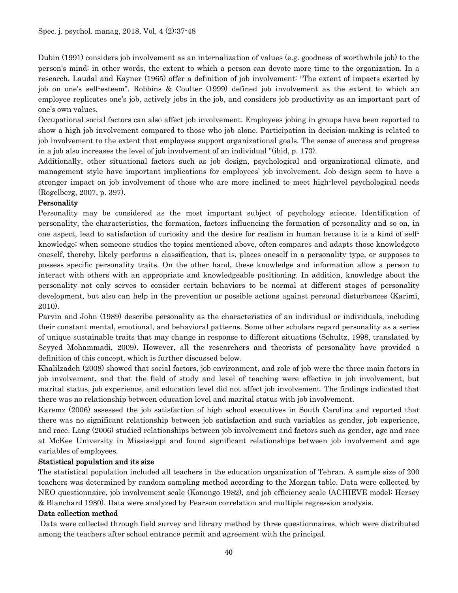Dubin (1991) considers job involvement as an internalization of values (e.g. goodness of worthwhile job) to the person's mind; in other words, the extent to which a person can devote more time to the organization. In a research, Laudal and Kayner (1965) offer a definition of job involvement: "The extent of impacts exerted by job on one's self-esteem". Robbins & Coulter (1999) defined job involvement as the extent to which an employee replicates one's job, actively jobs in the job, and considers job productivity as an important part of one's own values.

Occupational social factors can also affect job involvement. Employees jobing in groups have been reported to show a high job involvement compared to those who job alone. Participation in decision-making is related to job involvement to the extent that employees support organizational goals. The sense of success and progress in a job also increases the level of job involvement of an individual "(ibid, p. 173).

Additionally, other situational factors such as job design, psychological and organizational climate, and management style have important implications for employees' job involvement. Job design seem to have a stronger impact on job involvement of those who are more inclined to meet high-level psychological needs (Rogelberg, 2007, p. 397).

# Personality

Personality may be considered as the most important subject of psychology science. Identification of personality, the characteristics, the formation, factors influencing the formation of personality and so on, in one aspect, lead to satisfaction of curiosity and the desire for realism in human because it is a kind of selfknowledge; when someone studies the topics mentioned above, often compares and adapts those knowledgeto oneself, thereby, likely performs a classification, that is, places oneself in a personality type, or supposes to possess specific personality traits. On the other hand, these knowledge and information allow a person to interact with others with an appropriate and knowledgeable positioning. In addition, knowledge about the personality not only serves to consider certain behaviors to be normal at different stages of personality development, but also can help in the prevention or possible actions against personal disturbances (Karimi, 2010).

Parvin and John (1989) describe personality as the characteristics of an individual or individuals, including their constant mental, emotional, and behavioral patterns. Some other scholars regard personality as a series of unique sustainable traits that may change in response to different situations (Schultz, 1998, translated by Seyyed Mohammadi, 2009). However, all the researchers and theorists of personality have provided a definition of this concept, which is further discussed below.

Khalilzadeh (2008) showed that social factors, job environment, and role of job were the three main factors in job involvement, and that the field of study and level of teaching were effective in job involvement, but marital status, job experience, and education level did not affect job involvement. The findings indicated that there was no relationship between education level and marital status with job involvement.

Karemz (2006) assessed the job satisfaction of high school executives in South Carolina and reported that there was no significant relationship between job satisfaction and such variables as gender, job experience, and race. Lang (2006) studied relationships between job involvement and factors such as gender, age and race at McKee University in Mississippi and found significant relationships between job involvement and age variables of employees.

# Statistical population and its size

The statistical population included all teachers in the education organization of Tehran. A sample size of 200 teachers was determined by random sampling method according to the Morgan table. Data were collected by NEO questionnaire, job involvement scale (Konongo 1982), and job efficiency scale (ACHIEVE model: Hersey & Blanchard 1980). Data were analyzed by Pearson correlation and multiple regression analysis.

## Data collection method

Data were collected through field survey and library method by three questionnaires, which were distributed among the teachers after school entrance permit and agreement with the principal.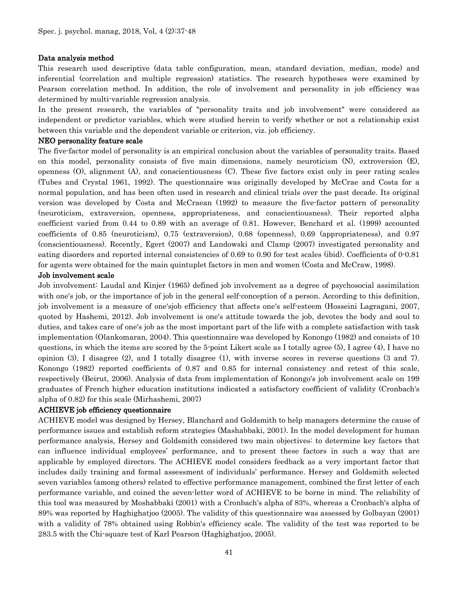#### Data analysis method

This research used descriptive (data table configuration, mean, standard deviation, median, mode) and inferential (correlation and multiple regression) statistics. The research hypotheses were examined by Pearson correlation method. In addition, the role of involvement and personality in job efficiency was determined by multi-variable regression analysis.

In the present research, the variables of "personality traits and job involvement" were considered as independent or predictor variables, which were studied herein to verify whether or not a relationship exist between this variable and the dependent variable or criterion, viz. job efficiency.

#### NEO personality feature scale

The five-factor model of personality is an empirical conclusion about the variables of personality traits. Based on this model, personality consists of five main dimensions, namely neuroticism (N), extroversion (E), openness (O), alignment (A), and conscientiousness (C). These five factors exist only in peer rating scales (Tubes and Crystal 1961, 1992). The questionnaire was originally developed by McCrae and Costa for a normal population, and has been often used in research and clinical trials over the past decade. Its original version was developed by Costa and McCraean (1992) to measure the five-factor pattern of personality (neuroticism, extraversion, openness, appropriateness, and conscientiousness). Their reported alpha coefficient varied from 0.44 to 0.89 with an average of 0.81. However, Benchard et al. (1999) accounted coefficients of 0.85 (neuroticism), 0.75 (extraversion), 0.68 (openness), 0.69 (appropriateness), and 0.97 (conscientiousness). Recently, Egert (2007) and Landowski and Clamp (2007) investigated personality and eating disorders and reported internal consistencies of 0.69 to 0.90 for test scales (ibid). Coefficients of 0-0.81 for agents were obtained for the main quintuplet factors in men and women (Costa and McCraw, 1998).

#### Job involvement scale

Job involvement: Laudal and Kinjer (1965) defined job involvement as a degree of psychosocial assimilation with one's job, or the importance of job in the general self-conception of a person. According to this definition, job involvement is a measure of one'sjob efficiency that affects one's self-esteem (Hosseini Lagragani, 2007, quoted by Hashemi, 2012). Job involvement is one's attitude towards the job, devotes the body and soul to duties, and takes care of one's job as the most important part of the life with a complete satisfaction with task implementation (Olankomaran, 2004). This questionnaire was developed by Konongo (1982) and consists of 10 questions, in which the items are scored by the 5-point Likert scale as I totally agree (5), I agree (4), I have no opinion (3), I disagree (2), and I totally disagree (1), with inverse scores in reverse questions (3 and 7). Konongo (1982) reported coefficients of 0.87 and 0.85 for internal consistency and retest of this scale, respectively (Beirut, 2006). Analysis of data from implementation of Konongo's job involvement scale on 199 graduates of French higher education institutions indicated a satisfactory coefficient of validity (Cronbach's alpha of 0.82) for this scale (Mirhashemi, 2007)

## ACHIEVE job efficiency questionnaire

ACHIEVE model was designed by Hersey, Blanchard and Goldsmith to help managers determine the cause of performance issues and establish reform strategies (Mashabbaki, 2001). In the model development for human performance analysis, Hersey and Goldsmith considered two main objectives: to determine key factors that can influence individual employees' performance, and to present these factors in such a way that are applicable by employed directors. The ACHIEVE model considers feedback as a very important factor that includes daily training and formal assessment of individuals' performance. Hersey and Goldsmith selected seven variables (among others) related to effective performance management, combined the first letter of each performance variable, and coined the seven-letter word of ACHIEVE to be borne in mind. The reliability of this tool was measured by Moshabbaki (2001) with a Cronbach's alpha of 83%, whereas a Cronbach's alpha of 89% was reported by Haghighatjoo (2005). The validity of this questionnaire was assessed by Golbayan (2001) with a validity of 78% obtained using Robbin's efficiency scale. The validity of the test was reported to be 283.5 with the Chi-square test of Karl Pearson (Haghighatjoo, 2005).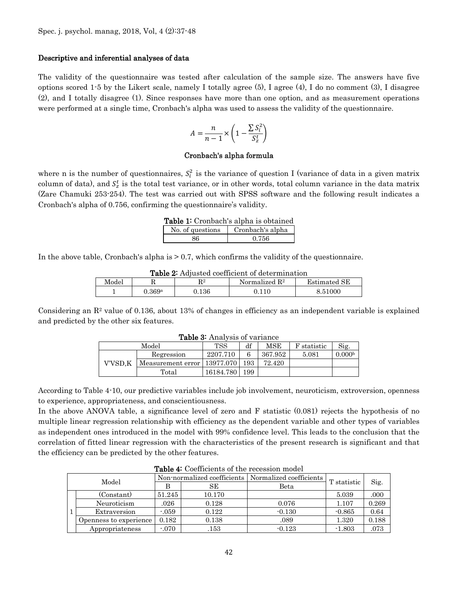#### Descriptive and inferential analyses of data

The validity of the questionnaire was tested after calculation of the sample size. The answers have five options scored 1.5 by the Likert scale, namely I totally agree  $(5)$ , I agree  $(4)$ , I do no comment  $(3)$ , I disagree (2), and I totally disagree (1). Since responses have more than one option, and as measurement operations were performed at a single time, Cronbach's alpha was used to assess the validity of the questionnaire.

$$
A = \frac{n}{n-1} \times \left(1 - \frac{\sum S_i^2}{S_z^t}\right)
$$

#### Cronbach's alpha formula

where n is the number of questionnaires,  $S_i^2$  is the variance of question I (variance of data in a given matrix column of data), and  $S_z^t$  is the total test variance, or in other words, total column variance in the data matrix (Zare Chamuki 253-254). The test was carried out with SPSS software and the following result indicates a Cronbach's alpha of 0.756, confirming the questionnaire's validity.

| Table 1: Cronbach's alpha is obtained |  |  |
|---------------------------------------|--|--|
|                                       |  |  |

| No. of questions | Cronbach's alpha |
|------------------|------------------|
| ዳና               | 0.756            |

In the above table, Cronbach's alpha is  $> 0.7$ , which confirms the validity of the questionnaire.

| <b>Table 2:</b> Adjusted coefficient of determination |  |
|-------------------------------------------------------|--|
|-------------------------------------------------------|--|

| Model |               | $\mathbf{D}2$<br>πv | Normalized $\mathbb{R}^2$ | <b>Estimated SE</b> |
|-------|---------------|---------------------|---------------------------|---------------------|
|       | $\rm J.369^a$ | $\rm 0.136$         |                           | 8.51000             |

Considering an  $\mathbb{R}^2$  value of 0.136, about 13% of changes in efficiency as an independent variable is explained and predicted by the other six features.

| <b>Table 3.</b> Analysis of variance |                             |            |     |         |             |                    |  |
|--------------------------------------|-----------------------------|------------|-----|---------|-------------|--------------------|--|
|                                      | Model                       | <b>TSS</b> | df  | MSE     | F statistic | Sig.               |  |
|                                      | Regression                  | 2207.710   |     | 367.952 | 5.081       | 0.000 <sup>b</sup> |  |
| V'VSD.K                              | Measurement error 13977.070 |            | 193 | 72.420  |             |                    |  |
|                                      | Total                       | 16184.780  | 199 |         |             |                    |  |

Table 3: Analysis of variance

According to Table 4-10, our predictive variables include job involvement, neuroticism, extroversion, openness to experience, appropriateness, and conscientiousness.

In the above ANOVA table, a significance level of zero and F statistic (0.081) rejects the hypothesis of no multiple linear regression relationship with efficiency as the dependent variable and other types of variables as independent ones introduced in the model with 99% confidence level. This leads to the conclusion that the correlation of fitted linear regression with the characteristics of the present research is significant and that the efficiency can be predicted by the other features.

|       | <b>Table 4.</b> Coefficients of the recession model |                                                       |        |          |             |       |  |  |
|-------|-----------------------------------------------------|-------------------------------------------------------|--------|----------|-------------|-------|--|--|
| Model |                                                     | Non-normalized coefficients   Normalized coefficients |        |          | T statistic |       |  |  |
|       |                                                     |                                                       | SЕ     | Beta     |             | Sig.  |  |  |
|       | (Constant)                                          | 51.245                                                | 10.170 |          | 5.039       | .000  |  |  |
|       | Neuroticism                                         | .026                                                  | 0.128  | 0.076    | 1.107       | 0.269 |  |  |
|       | Extraversion                                        | $-059$                                                | 0.122  | $-0.130$ | $-0.865$    | 0.64  |  |  |
|       | Openness to experience                              | 0.182                                                 | 0.138  | .089     | 1.320       | 0.188 |  |  |
|       | Appropriateness                                     | $-070$                                                | .153   | $-0.123$ | $-1.803$    | .073  |  |  |

 $T$  11  $\overline{4}$ : Coefficients of the recession of the recession model  $\overline{C}$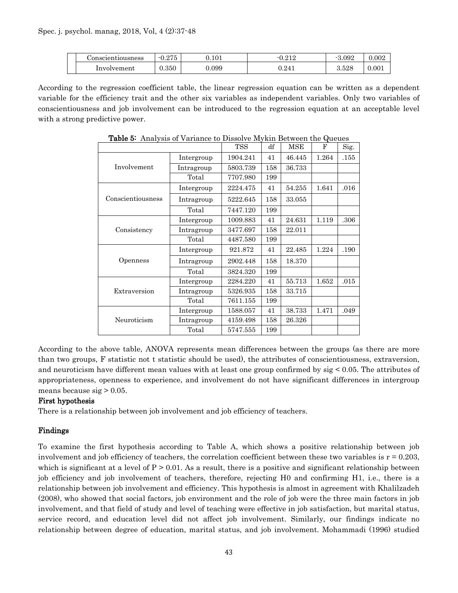|                    | $\Omega F$ |       | റ1 വ      |                |       |
|--------------------|------------|-------|-----------|----------------|-------|
| .\onscientiousness | ◡.⊿        | 0.101 | U.ALA     | 3.092          | 0.002 |
| Involvement        | $_{0.350}$ | 0.099 | ${0.241}$ | ດ ຂດວ<br>ാ.ാ∠ഠ | 0.001 |

According to the regression coefficient table, the linear regression equation can be written as a dependent variable for the efficiency trait and the other six variables as independent variables. Only two variables of conscientiousness and job involvement can be introduced to the regression equation at an acceptable level with a strong predictive power.

|                   |            | <b>TSS</b> | df  | MSE    | F     | Sig. |
|-------------------|------------|------------|-----|--------|-------|------|
|                   | Intergroup | 1904.241   | 41  | 46.445 | 1.264 | .155 |
| Involvement       | Intragroup | 5803.739   | 158 | 36.733 |       |      |
|                   | Total      | 7707.980   | 199 |        |       |      |
|                   | Intergroup | 2224.475   | 41  | 54.255 | 1.641 | .016 |
| Conscientiousness | Intragroup | 5222.645   | 158 | 33.055 |       |      |
|                   | Total      | 7447.120   | 199 |        |       |      |
|                   | Intergroup | 1009.883   | 41  | 24.631 | 1.119 | .306 |
| Consistency       | Intragroup | 3477.697   | 158 | 22.011 |       |      |
|                   | Total      | 4487.580   | 199 |        |       |      |
|                   | Intergroup | 921.872    | 41  | 22.485 | 1.224 | .190 |
| Openness          | Intragroup | 2902.448   | 158 | 18.370 |       |      |
|                   | Total      | 3824.320   | 199 |        |       |      |
|                   | Intergroup | 2284.220   | 41  | 55.713 | 1.652 | .015 |
| Extraversion      | Intragroup | 5326.935   | 158 | 33.715 |       |      |
|                   | Total      | 7611.155   | 199 |        |       |      |
|                   | Intergroup | 1588.057   | 41  | 38.733 | 1.471 | .049 |
| Neuroticism       | Intragroup | 4159.498   | 158 | 26.326 |       |      |
|                   | Total      | 5747.555   | 199 |        |       |      |

Table 5: Analysis of Variance to Dissolve Mykin Between the Queues

According to the above table, ANOVA represents mean differences between the groups (as there are more than two groups, F statistic not t statistic should be used), the attributes of conscientiousness, extraversion, and neuroticism have different mean values with at least one group confirmed by sig < 0.05. The attributes of appropriateness, openness to experience, and involvement do not have significant differences in intergroup means because  $sig > 0.05$ .

## First hypothesis

There is a relationship between job involvement and job efficiency of teachers.

## Findings

To examine the first hypothesis according to Table A, which shows a positive relationship between job involvement and job efficiency of teachers, the correlation coefficient between these two variables is  $r = 0.203$ , which is significant at a level of  $P > 0.01$ . As a result, there is a positive and significant relationship between job efficiency and job involvement of teachers, therefore, rejecting H0 and confirming H1, i.e., there is a relationship between job involvement and efficiency. This hypothesis is almost in agreement with Khalilzadeh (2008), who showed that social factors, job environment and the role of job were the three main factors in job involvement, and that field of study and level of teaching were effective in job satisfaction, but marital status, service record, and education level did not affect job involvement. Similarly, our findings indicate no relationship between degree of education, marital status, and job involvement. Mohammadi (1996) studied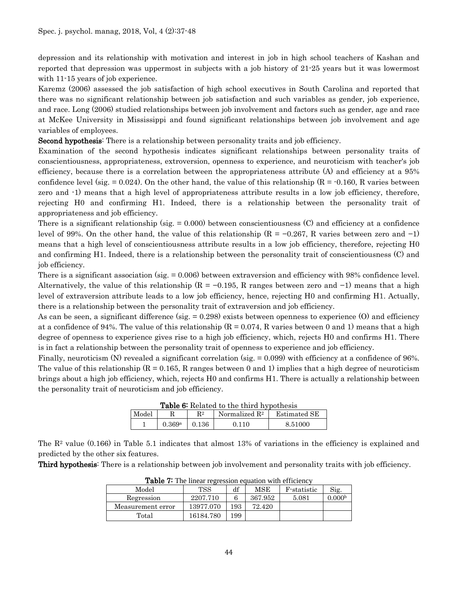depression and its relationship with motivation and interest in job in high school teachers of Kashan and reported that depression was uppermost in subjects with a job history of 21-25 years but it was lowermost with 11-15 years of job experience.

Karemz (2006) assessed the job satisfaction of high school executives in South Carolina and reported that there was no significant relationship between job satisfaction and such variables as gender, job experience, and race. Long (2006) studied relationships between job involvement and factors such as gender, age and race at McKee University in Mississippi and found significant relationships between job involvement and age variables of employees.

Second hypothesis: There is a relationship between personality traits and job efficiency.

Examination of the second hypothesis indicates significant relationships between personality traits of conscientiousness, appropriateness, extroversion, openness to experience, and neuroticism with teacher's job efficiency, because there is a correlation between the appropriateness attribute (A) and efficiency at a 95% confidence level (sig.  $= 0.024$ ). On the other hand, the value of this relationship (R =  $-0.160$ , R varies between zero and -1) means that a high level of appropriateness attribute results in a low job efficiency, therefore, rejecting H0 and confirming H1. Indeed, there is a relationship between the personality trait of appropriateness and job efficiency.

There is a significant relationship (sig.  $= 0.000$ ) between conscientiousness (C) and efficiency at a confidence level of 99%. On the other hand, the value of this relationship ( $R = -0.267$ , R varies between zero and -1) means that a high level of conscientiousness attribute results in a low job efficiency, therefore, rejecting H0 and confirming H1. Indeed, there is a relationship between the personality trait of conscientiousness (C) and job efficiency.

There is a significant association (sig. = 0.006) between extraversion and efficiency with 98% confidence level. Alternatively, the value of this relationship ( $R = -0.195$ , R ranges between zero and  $-1$ ) means that a high level of extraversion attribute leads to a low job efficiency, hence, rejecting H0 and confirming H1. Actually, there is a relationship between the personality trait of extraversion and job efficiency.

As can be seen, a significant difference (sig.  $= 0.298$ ) exists between openness to experience (O) and efficiency at a confidence of 94%. The value of this relationship  $(R = 0.074, R$  varies between 0 and 1) means that a high degree of openness to experience gives rise to a high job efficiency, which, rejects H0 and confirms H1. There is in fact a relationship between the personality trait of openness to experience and job efficiency.

Finally, neuroticism (N) revealed a significant correlation (sig. = 0.099) with efficiency at a confidence of 96%. The value of this relationship  $(R = 0.165, R$  ranges between 0 and 1) implies that a high degree of neuroticism brings about a high job efficiency, which, rejects H0 and confirms H1. There is actually a relationship between the personality trait of neuroticism and job efficiency.

| <b>Table 6:</b> Related to the third hypothesis                      |        |       |       |         |  |  |
|----------------------------------------------------------------------|--------|-------|-------|---------|--|--|
| Model<br>R <sup>2</sup><br>Normalized $\mathbb{R}^2$<br>Estimated SE |        |       |       |         |  |  |
|                                                                      | 0.369a | 0.136 | 0.110 | 8.51000 |  |  |

The R2 value (0.166) in Table 5.1 indicates that almost 13% of variations in the efficiency is explained and predicted by the other six features.

Third hypothesis: There is a relationship between job involvement and personality traits with job efficiency.

| ------<br>THE MICH ISLIGHTH COMMUTH WILL CHILDION |            |     |         |             |                    |  |  |  |
|---------------------------------------------------|------------|-----|---------|-------------|--------------------|--|--|--|
| Model                                             | <b>TSS</b> | df  | MSE     | F statistic | Sig.               |  |  |  |
| Regression                                        | 2207.710   |     | 367.952 | 5.081       | 0.000 <sup>b</sup> |  |  |  |
| Measurement error                                 | 13977.070  | 93  | 72.420  |             |                    |  |  |  |
| Total                                             | 16184.780  | 199 |         |             |                    |  |  |  |

Table 7: The linear regression equation with efficiency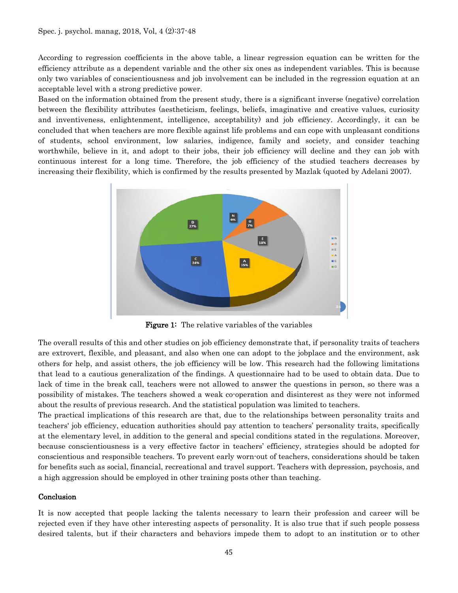According to regression coefficients in the above table, a linear regression equation can be written for the efficiency attribute as a dependent variable and the other six ones as independent variables. This is because only two variables of conscientiousness and job involvement can be included in the regression equation at an acceptable level with a strong predictive power.

Based on the information obtained from the present study, there is a significant inverse (negative) correlation between the flexibility attributes (aestheticism, feelings, beliefs, imaginative and creative values, curiosity and inventiveness, enlightenment, intelligence, acceptability) and job efficiency. Accordingly, it can be concluded that when teachers are more flexible against life problems and can cope with unpleasant conditions of students, school environment, low salaries, indigence, family and society, and consider teaching worthwhile, believe in it, and adopt to their jobs, their job efficiency will decline and they can job with continuous interest for a long time. Therefore, the job efficiency of the studied teachers decreases by increasing their flexibility, which is confirmed by the results presented by Mazlak (quoted by Adelani 2007).



Figure 1: The relative variables of the variables

The overall results of this and other studies on job efficiency demonstrate that, if personality traits of teachers are extrovert, flexible, and pleasant, and also when one can adopt to the jobplace and the environment, ask others for help, and assist others, the job efficiency will be low. This research had the following limitations that lead to a cautious generalization of the findings. A questionnaire had to be used to obtain data. Due to lack of time in the break call, teachers were not allowed to answer the questions in person, so there was a possibility of mistakes. The teachers showed a weak co-operation and disinterest as they were not informed about the results of previous research. And the statistical population was limited to teachers.

The practical implications of this research are that, due to the relationships between personality traits and teachers' job efficiency, education authorities should pay attention to teachers' personality traits, specifically at the elementary level, in addition to the general and special conditions stated in the regulations. Moreover, because conscientiousness is a very effective factor in teachers' efficiency, strategies should be adopted for conscientious and responsible teachers. To prevent early worn-out of teachers, considerations should be taken for benefits such as social, financial, recreational and travel support. Teachers with depression, psychosis, and a high aggression should be employed in other training posts other than teaching.

## Conclusion

It is now accepted that people lacking the talents necessary to learn their profession and career will be rejected even if they have other interesting aspects of personality. It is also true that if such people possess desired talents, but if their characters and behaviors impede them to adopt to an institution or to other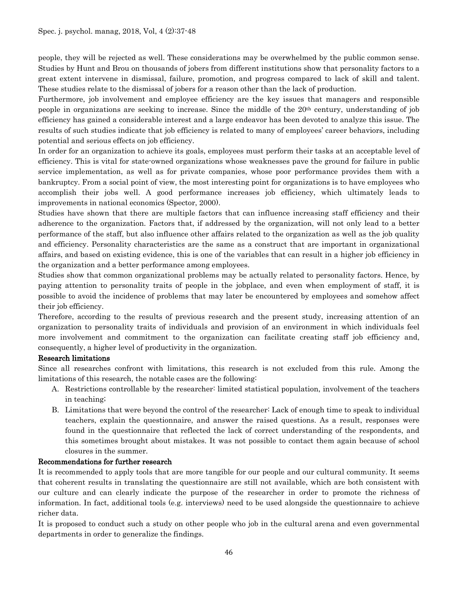people, they will be rejected as well. These considerations may be overwhelmed by the public common sense. Studies by Hunt and Brou on thousands of jobers from different institutions show that personality factors to a great extent intervene in dismissal, failure, promotion, and progress compared to lack of skill and talent. These studies relate to the dismissal of jobers for a reason other than the lack of production.

Furthermore, job involvement and employee efficiency are the key issues that managers and responsible people in organizations are seeking to increase. Since the middle of the 20th century, understanding of job efficiency has gained a considerable interest and a large endeavor has been devoted to analyze this issue. The results of such studies indicate that job efficiency is related to many of employees' career behaviors, including potential and serious effects on job efficiency.

In order for an organization to achieve its goals, employees must perform their tasks at an acceptable level of efficiency. This is vital for state-owned organizations whose weaknesses pave the ground for failure in public service implementation, as well as for private companies, whose poor performance provides them with a bankruptcy. From a social point of view, the most interesting point for organizations is to have employees who accomplish their jobs well. A good performance increases job efficiency, which ultimately leads to improvements in national economics (Spector, 2000).

Studies have shown that there are multiple factors that can influence increasing staff efficiency and their adherence to the organization. Factors that, if addressed by the organization, will not only lead to a better performance of the staff, but also influence other affairs related to the organization as well as the job quality and efficiency. Personality characteristics are the same as a construct that are important in organizational affairs, and based on existing evidence, this is one of the variables that can result in a higher job efficiency in the organization and a better performance among employees.

Studies show that common organizational problems may be actually related to personality factors. Hence, by paying attention to personality traits of people in the jobplace, and even when employment of staff, it is possible to avoid the incidence of problems that may later be encountered by employees and somehow affect their job efficiency.

Therefore, according to the results of previous research and the present study, increasing attention of an organization to personality traits of individuals and provision of an environment in which individuals feel more involvement and commitment to the organization can facilitate creating staff job efficiency and, consequently, a higher level of productivity in the organization.

# Research limitations

Since all researches confront with limitations, this research is not excluded from this rule. Among the limitations of this research, the notable cases are the following:

- A. Restrictions controllable by the researcher: limited statistical population, involvement of the teachers in teaching;
- B. Limitations that were beyond the control of the researcher: Lack of enough time to speak to individual teachers, explain the questionnaire, and answer the raised questions. As a result, responses were found in the questionnaire that reflected the lack of correct understanding of the respondents, and this sometimes brought about mistakes. It was not possible to contact them again because of school closures in the summer.

# Recommendations for further research

It is recommended to apply tools that are more tangible for our people and our cultural community. It seems that coherent results in translating the questionnaire are still not available, which are both consistent with our culture and can clearly indicate the purpose of the researcher in order to promote the richness of information. In fact, additional tools (e.g. interviews) need to be used alongside the questionnaire to achieve richer data.

It is proposed to conduct such a study on other people who job in the cultural arena and even governmental departments in order to generalize the findings.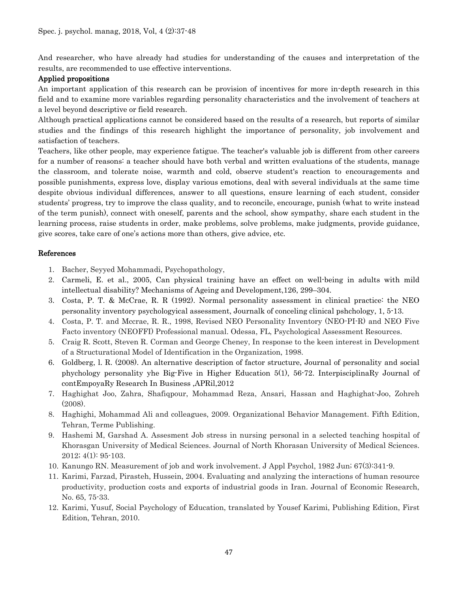And researcher, who have already had studies for understanding of the causes and interpretation of the results, are recommended to use effective interventions.

# Applied propositions

An important application of this research can be provision of incentives for more in-depth research in this field and to examine more variables regarding personality characteristics and the involvement of teachers at a level beyond descriptive or field research.

Although practical applications cannot be considered based on the results of a research, but reports of similar studies and the findings of this research highlight the importance of personality, job involvement and satisfaction of teachers.

Teachers, like other people, may experience fatigue. The teacher's valuable job is different from other careers for a number of reasons: a teacher should have both verbal and written evaluations of the students, manage the classroom, and tolerate noise, warmth and cold, observe student's reaction to encouragements and possible punishments, express love, display various emotions, deal with several individuals at the same time despite obvious individual differences, answer to all questions, ensure learning of each student, consider students' progress, try to improve the class quality, and to reconcile, encourage, punish (what to write instead of the term punish), connect with oneself, parents and the school, show sympathy, share each student in the learning process, raise students in order, make problems, solve problems, make judgments, provide guidance, give scores, take care of one's actions more than others, give advice, etc.

# References

- 1. Bacher, Seyyed Mohammadi, Psychopathology,
- 2. Carmeli, E. et al., 2005, Can physical training have an effect on well-being in adults with mild intellectual disability? Mechanisms of Ageing and Development,126, 299–304.
- 3. Costa, P. T. & McCrae, R. R (1992). Normal personality assessment in clinical practice: the NEO personality inventory psychologyical assessment, Journalk of conceling clinical pshchology, 1, 5-13.
- 4. Costa, P. T. and Mccrae, R. R., 1998, Revised NEO Personality Inventory (NEO-PI-R) and NEO Five Facto inventory (NEOFFI) Professional manual. Odessa, FL, Psychological Assessment Resources.
- 5. Craig R. Scott, Steven R. Corman and George Cheney, In response to the keen interest in Development of a Structurational Model of Identification in the Organization, 1998.
- 6. Goldberg, l. R. (2008). An alternative description of factor structure, Journal of personality and social phychology personality yhe Big-Five in Higher Education 5(1), 56-72. InterpisciplinaRy Journal of contEmpoyaRy Research In Business ,APRil,2012
- 7. Haghighat Joo, Zahra, Shafiqpour, Mohammad Reza, Ansari, Hassan and Haghighat-Joo, Zohreh (2008).
- 8. Haghighi, Mohammad Ali and colleagues, 2009. Organizational Behavior Management. Fifth Edition, Tehran, Terme Publishing.
- 9. Hashemi M, Garshad A. Assesment Job stress in nursing personal in a selected teaching hospital of Khorasgan University of Medical Sciences. Journal of North Khorasan University of Medical Sciences. 2012; 4(1): 95-103.
- 10. Kanungo RN. Measurement of job and work involvement. J Appl Psychol, 1982 Jun; 67(3):341-9.
- 11. Karimi, Farzad, Pirasteh, Hussein, 2004. Evaluating and analyzing the interactions of human resource productivity, production costs and exports of industrial goods in Iran. Journal of Economic Research, No. 65, 75-33.
- 12. Karimi, Yusuf, Social Psychology of Education, translated by Yousef Karimi, Publishing Edition, First Edition, Tehran, 2010.